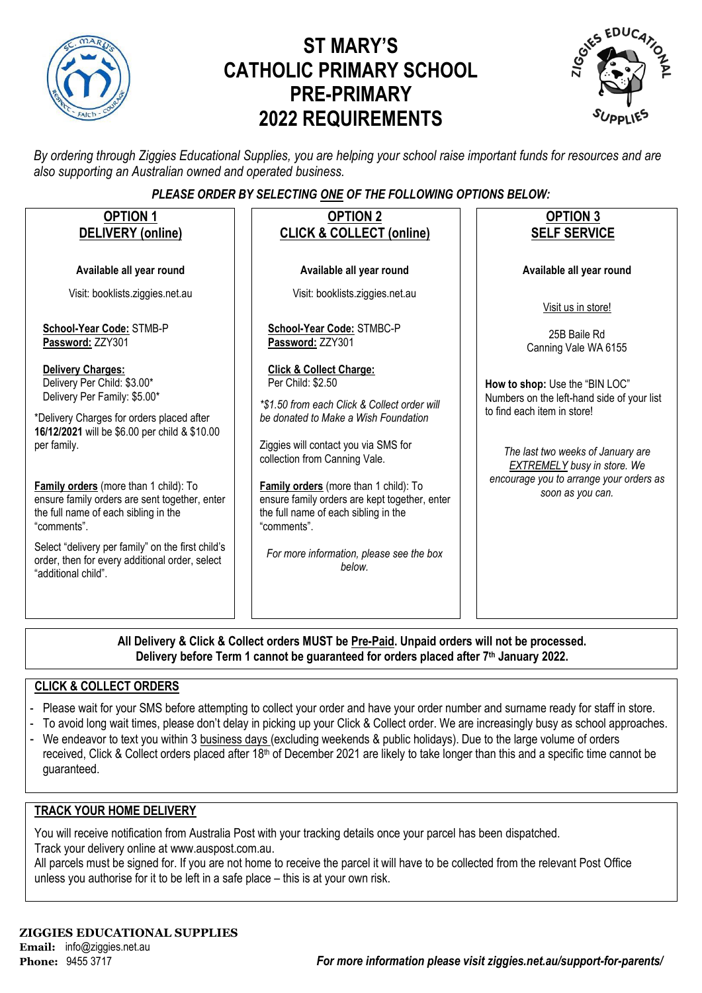

# **ST MARY'S CATHOLIC PRIMARY SCHOOL PRE-PRIMARY 2022 REQUIREMENTS**



*By ordering through Ziggies Educational Supplies, you are helping your school raise important funds for resources and are also supporting an Australian owned and operated business.*

### *PLEASE ORDER BY SELECTING ONE OF THE FOLLOWING OPTIONS BELOW:*

| <b>OPTION 1</b><br><b>DELIVERY</b> (online)                                                                                                                                                                                                                                                                                                                                                                                                                                         | <b>OPTION 2</b><br><b>CLICK &amp; COLLECT (online)</b>                                                                                                                                                                                                                                                                                                                                                                          | <b>OPTION 3</b><br><b>SELF SERVICE</b>                                                                                                                                                                                                                |
|-------------------------------------------------------------------------------------------------------------------------------------------------------------------------------------------------------------------------------------------------------------------------------------------------------------------------------------------------------------------------------------------------------------------------------------------------------------------------------------|---------------------------------------------------------------------------------------------------------------------------------------------------------------------------------------------------------------------------------------------------------------------------------------------------------------------------------------------------------------------------------------------------------------------------------|-------------------------------------------------------------------------------------------------------------------------------------------------------------------------------------------------------------------------------------------------------|
| Available all year round                                                                                                                                                                                                                                                                                                                                                                                                                                                            | Available all year round                                                                                                                                                                                                                                                                                                                                                                                                        | Available all year round                                                                                                                                                                                                                              |
| Visit: booklists.ziggies.net.au                                                                                                                                                                                                                                                                                                                                                                                                                                                     | Visit: booklists.ziggies.net.au                                                                                                                                                                                                                                                                                                                                                                                                 | Visit us in store!                                                                                                                                                                                                                                    |
| School-Year Code: STMB-P<br>Password: ZZY301                                                                                                                                                                                                                                                                                                                                                                                                                                        | School-Year Code: STMBC-P<br>Password: ZZY301                                                                                                                                                                                                                                                                                                                                                                                   | 25B Baile Rd<br>Canning Vale WA 6155                                                                                                                                                                                                                  |
| <b>Delivery Charges:</b><br>Delivery Per Child: \$3.00*<br>Delivery Per Family: \$5.00*<br>*Delivery Charges for orders placed after<br>16/12/2021 will be \$6.00 per child & \$10.00<br>per family.<br>Family orders (more than 1 child): To<br>ensure family orders are sent together, enter<br>the full name of each sibling in the<br>"comments".<br>Select "delivery per family" on the first child's<br>order, then for every additional order, select<br>"additional child". | <b>Click &amp; Collect Charge:</b><br>Per Child: \$2.50<br>*\$1.50 from each Click & Collect order will<br>be donated to Make a Wish Foundation<br>Ziggies will contact you via SMS for<br>collection from Canning Vale.<br>Family orders (more than 1 child): To<br>ensure family orders are kept together, enter<br>the full name of each sibling in the<br>"comments".<br>For more information, please see the box<br>helow. | How to shop: Use the "BIN LOC"<br>Numbers on the left-hand side of your list<br>to find each item in store!<br>The last two weeks of January are<br><b>EXTREMELY</b> busy in store. We<br>encourage you to arrange your orders as<br>soon as you can. |
|                                                                                                                                                                                                                                                                                                                                                                                                                                                                                     |                                                                                                                                                                                                                                                                                                                                                                                                                                 |                                                                                                                                                                                                                                                       |

**All Delivery & Click & Collect orders MUST be Pre-Paid. Unpaid orders will not be processed. Delivery before Term 1 cannot be guaranteed for orders placed after 7th January 2022.**

### **CLICK & COLLECT ORDERS**

- Please wait for your SMS before attempting to collect your order and have your order number and surname ready for staff in store.
- To avoid long wait times, please don't delay in picking up your Click & Collect order. We are increasingly busy as school approaches.
- We endeavor to text you within 3 business days (excluding weekends & public holidays). Due to the large volume of orders received, Click & Collect orders placed after 18<sup>th</sup> of December 2021 are likely to take longer than this and a specific time cannot be guaranteed.

### **TRACK YOUR HOME DELIVERY**

You will receive notification from Australia Post with your tracking details once your parcel has been dispatched. Track your delivery online a[t www.auspost.com.au.](http://www.auspost.com.au/)

All parcels must be signed for. If you are not home to receive the parcel it will have to be collected from the relevant Post Office unless you authorise for it to be left in a safe place – this is at your own risk.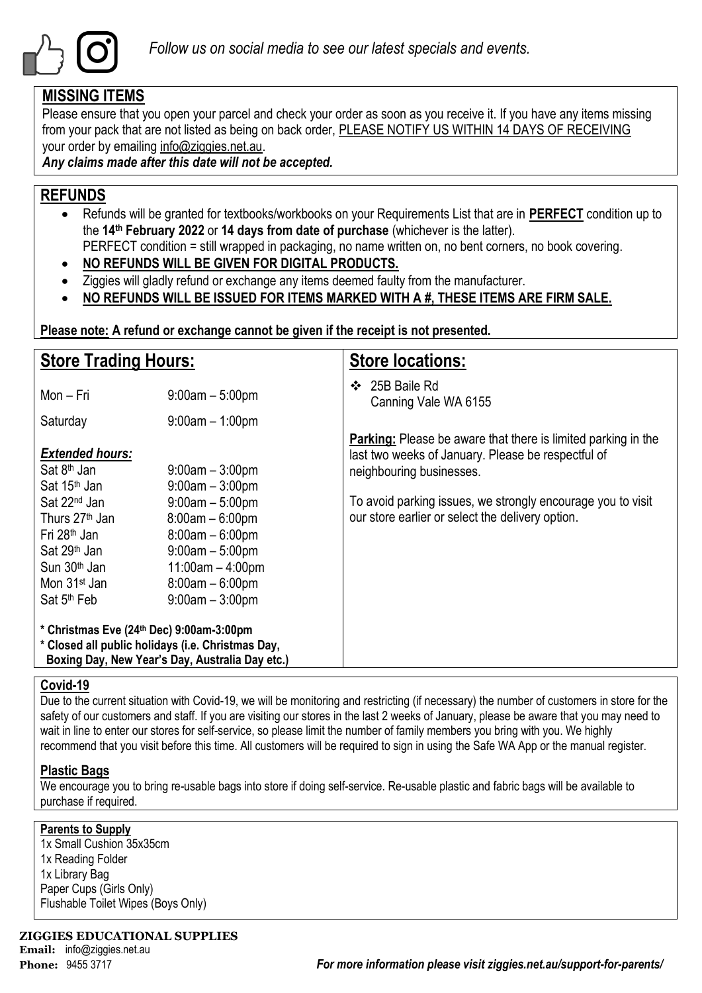

## **MISSING ITEMS**

Please ensure that you open your parcel and check your order as soon as you receive it. If you have any items missing from your pack that are not listed as being on back order, PLEASE NOTIFY US WITHIN 14 DAYS OF RECEIVING your order by emailing info@ziggies.net.au.

*Any claims made after this date will not be accepted.*

## **REFUNDS**

- Refunds will be granted for textbooks/workbooks on your Requirements List that are in **PERFECT** condition up to the **14th February 2022** or **14 days from date of purchase** (whichever is the latter). PERFECT condition = still wrapped in packaging, no name written on, no bent corners, no book covering.
- **NO REFUNDS WILL BE GIVEN FOR DIGITAL PRODUCTS.**
- Ziggies will gladly refund or exchange any items deemed faulty from the manufacturer.
- **NO REFUNDS WILL BE ISSUED FOR ITEMS MARKED WITH A #, THESE ITEMS ARE FIRM SALE.**

**Please note: A refund or exchange cannot be given if the receipt is not presented.**

| <b>Store Trading Hours:</b>                                                                                                                                                                       |                                                                                                                                                  | <b>Store locations:</b>                                                                                                                                |  |  |  |  |  |
|---------------------------------------------------------------------------------------------------------------------------------------------------------------------------------------------------|--------------------------------------------------------------------------------------------------------------------------------------------------|--------------------------------------------------------------------------------------------------------------------------------------------------------|--|--|--|--|--|
| Mon - Fri                                                                                                                                                                                         | $9:00am - 5:00pm$                                                                                                                                | 25B Baile Rd<br>❖<br>Canning Vale WA 6155                                                                                                              |  |  |  |  |  |
| Saturday                                                                                                                                                                                          | $9:00am - 1:00pm$                                                                                                                                |                                                                                                                                                        |  |  |  |  |  |
| <b>Extended hours:</b><br>Sat 8 <sup>th</sup> Jan<br>Sat 15 <sup>th</sup> Jan                                                                                                                     | $9:00$ am $-3:00$ pm<br>$9:00am - 3:00pm$                                                                                                        | <b>Parking:</b> Please be aware that there is limited parking in the<br>last two weeks of January. Please be respectful of<br>neighbouring businesses. |  |  |  |  |  |
| Sat 22 <sup>nd</sup> Jan<br>Thurs 27 <sup>th</sup> Jan<br>Fri 28 <sup>th</sup> Jan<br>Sat 29 <sup>th</sup> Jan<br>Sun 30 <sup>th</sup> Jan<br>Mon 31 <sup>st</sup> Jan<br>Sat 5 <sup>th</sup> Feb | $9:00am - 5:00pm$<br>$8:00am - 6:00pm$<br>$8:00am - 6:00pm$<br>$9:00am - 5:00pm$<br>$11:00am - 4:00pm$<br>$8:00am - 6:00pm$<br>$9:00am - 3:00pm$ | To avoid parking issues, we strongly encourage you to visit<br>our store earlier or select the delivery option.                                        |  |  |  |  |  |
| * Christmas Eve (24th Dec) 9:00am-3:00pm<br>* Closed all public holidays (i.e. Christmas Day,<br>Boxing Day, New Year's Day, Australia Day etc.)                                                  |                                                                                                                                                  |                                                                                                                                                        |  |  |  |  |  |

### **Covid-19**

Due to the current situation with Covid-19, we will be monitoring and restricting (if necessary) the number of customers in store for the safety of our customers and staff. If you are visiting our stores in the last 2 weeks of January, please be aware that you may need to wait in line to enter our stores for self-service, so please limit the number of family members you bring with you. We highly recommend that you visit before this time. All customers will be required to sign in using the Safe WA App or the manual register.

### **Plastic Bags**

We encourage you to bring re-usable bags into store if doing self-service. Re-usable plastic and fabric bags will be available to purchase if required.

### **Parents to Supply**

1x Small Cushion 35x35cm 1x Reading Folder 1x Library Bag Paper Cups (Girls Only) Flushable Toilet Wipes (Boys Only)

**ZIGGIES EDUCATIONAL SUPPLIES Email:** info@ziggies.net.au